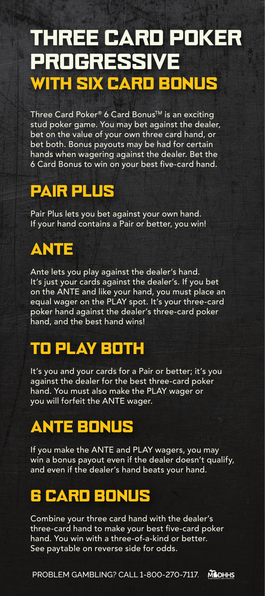# **PROGRESSIVE** WITH SIX CARD BONUS THREE CARD POKER

Three Card Poker® 6 Card Bonus<sup>™</sup> is an exciting stud poker game. You may bet against the dealer, bet on the value of your own three card hand, or bet both. Bonus payouts may be had for certain hands when wagering against the dealer. Bet the 6 Card Bonus to win on your best five-card hand.

## PAIR PLUS

Pair Plus lets you bet against your own hand. If your hand contains a Pair or better, you win!

# ANTE

Ante lets you play against the dealer's hand. It's just your cards against the dealer's. If you bet on the ANTE and like your hand, you must place an equal wager on the PLAY spot. It's your three-card poker hand against the dealer's three-card poker hand, and the best hand wins!

# TO PLAY BOTH

It's you and your cards for a Pair or better; it's you against the dealer for the best three-card poker hand. You must also make the PLAY wager or you will forfeit the ANTE wager.

# ANTE BONUS

If you make the ANTE and PLAY wagers, you may win a bonus payout even if the dealer doesn't qualify, and even if the dealer's hand beats your hand.

## 6 CARD BONUS

Combine your three card hand with the dealer's three-card hand to make your best five-card poker hand. You win with a three-of-a-kind or better. See paytable on reverse side for odds.

PROBLEM GAMBLING? CALL 1-800-270-7117.**MODHHS**